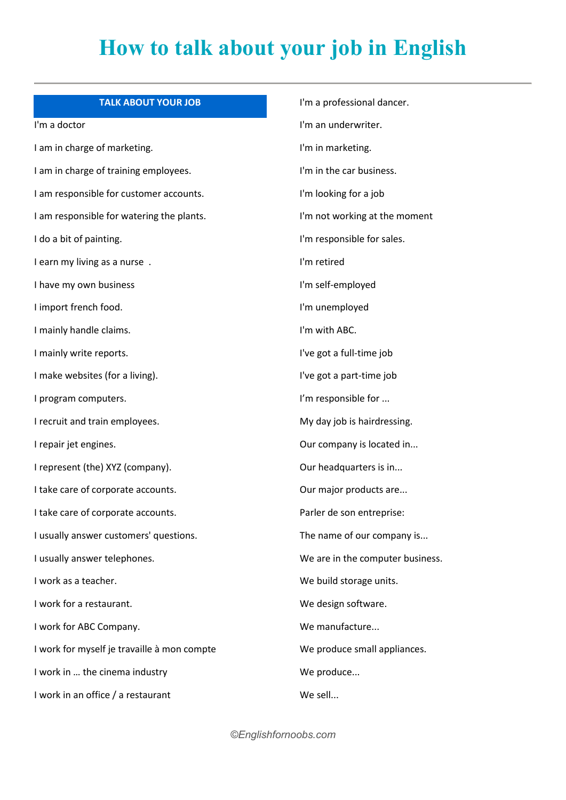## **How to talk about your job in English**

## **TALK ABOUT YOUR JOB**

I'm a doctor

I am in charge of marketing. I am in charge of training employees. I am responsible for customer accounts. I am responsible for watering the plants. I do a bit of painting. I earn my living as a nurse . I have my own business I import french food. I mainly handle claims. I mainly write reports. I make websites (for a living). I program computers. I recruit and train employees. I repair jet engines. I represent (the) XYZ (company). I take care of corporate accounts. I take care of corporate accounts. I usually answer customers' questions. I usually answer telephones. I work as a teacher. I work for a restaurant. I work for ABC Company. I work for myself je travaille à mon compte I work in ... the cinema industry I work in an office / a restaurant

I'm a professional dancer. I'm an underwriter. I'm in marketing. I'm in the car business. I'm looking for a job I'm not working at the moment I'm responsible for sales. I'm retired I'm self-employed I'm unemployed I'm with ABC. I've got a full-time job I've got a part-time job I'm responsible for ... My day job is hairdressing. Our company is located in... Our headquarters is in... Our major products are... Parler de son entreprise: The name of our company is... We are in the computer business. We build storage units. We design software. We manufacture... We produce small appliances. We produce... We sell...

*©Englishfornoobs.com*